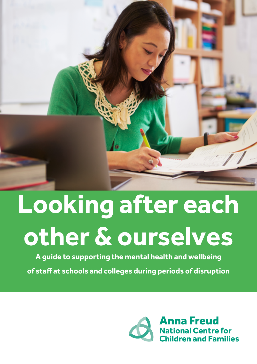

# **Looking after each other & ourselves**

**A guide to supporting the mental health and wellbeing** 

**of staff at schools and colleges during periods of disruption**

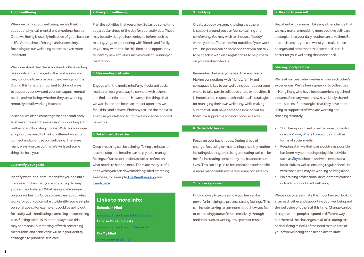When we think about wellbeing, we are thinking about our physical, mental and emotional health. Good wellbeing is usually indicative of good balance in life. At this time of change and uncertainty, focussing on our wellbeing becomes even more important.

We understand that the school and college setting has significantly changed in the past weeks and may continue to evolve over the coming months. During this time it is important to think of ways to support your own and your colleagues' mental health and wellbeing, whether they are working remotely or still working in school.

In school we often come together as a staff body to share and celebrate as a way of supporting staff wellbeing and boosting morale. With this no longer an option, we need to think of different ways to connect and prioritise our wellbeing. There are many ways you can do this. We've listed some things to help you:

#### **1. Identify your goals**

Identify what "self-care" means for you and build in more activities that you enjoy or help to keep you calm and relaxed. What has a positive impact on your wellbeing? Once you are clear about what works for you, you can start to identify some simple personal goals. For example, it could be going out for a daily walk, meditating, exercising or something else. Setting aside 15 minutes a day to do this may seem small but starting off with something measurable and achievable will help you identify strategies to prioritise self-care.

#### **5. Buddy up**

Create a buddy system. Knowing that there is support around you can feel containing and comforting. You may wish to choose a "buddy" within your staff team and/or outside of your work life. This person can be someone that you can talk to or check in with on a regular basis to help check on your wellbeing levels.

Remember that everyone has different needs. Making connections with friends, family and colleagues is key to our wellbeing but not everyone wants to take part in collective chats or activities. It is important to respect each individual's strategies for managing their own wellbeing, while making sure that all staff have someone looking out for them in a supportive and non-obtrusive way.

[www.annafreud.org/schoolsinmind](http://www.annafreud.org/schoolsinmind) **Child in Mind podcasts** [www.annafreud.org/childinmind](http://www.annafreud.org/childinmind) **On My Mind** amymind.info

#### **6. Go back to basics**

Focus on your basic needs. During times of change, focussing on maintaining a healthy routine including sleeping, exercising and eating well can be helpful in creating consistency and balance in our lives. This can help us to feel contained and that life is more manageable as there is some consistency.

#### **7. Express yourself**

Be patient with yourself. Like any other change that we may make, embedding more positive self-care strategies into your daily routine can take time. Be as consistent as you can whilst you make these changes and remember that some self-care is better for your wellbeing than none at all!

# **Sharing good practice**

We're at our best when we learn from each other's experiences. We've been speaking to colleagues in Hong Kong who have been experiencing school closures for many weeks now have kindly shared some successful strategies that they have been using to support staff who are working and teaching remotely.

Finding a way to express how you feel can be powerful in helping to process strong feelings. This can include talking to someone about how you feel or expressing yourself more creatively through methods such as writing, art, sports or music. We cannot overestimate the importance of looking after each other and supporting your wellbeing and the wellbeing of others at this time. Change can be disruptive and people respond in different ways, but there will be challenges to all of us during this period. Being mindful of the need to take care of your own wellbeing it the best place to start.

- Staff have prioritised time to connect one-toone via [Zoom](https://zoom.us), [WhatsApp groups](https://www.whatsapp.com) and other forms of social media
- Keeping staff wellbeing as positive as possible has been key: promoting enjoyable activities such as [Skype](https://www.skype.com/en/) cheese and wine events or a book club, as well as ensuring regular check-ins with those who may be working or living alone.
- Maintaining professional development courses online to support staff wellbeing

# **Links to more info:**

**Schools in Mind** 

# **2. Plan your wellbeing**

Plan the activities that you enjoy. Set aside some time at particular times of the day for your activities. These may be activities you have enjoyed before such as reading, yoga or connecting with friends and family, or you may want to take this time as an opportunity to identify new activities such as cooking, running or meditation.

# **3. Use media positively**

Engage with the media mindfully. Media and social media can be a great way to connect with others and find out information. However, the things that we watch, see and hear can impact upon how we feel, think and behave. Find ways to use the media to energise yourself and to improve your social support networks.

#### **4. Take time to breathe**

Deep breathing can be calming. Taking a minute (or less!) to stop and breathe can help you to manage feelings of stress or tension as well as reflect on what needs to happen next. There are many useful apps which you can download for guided breathing exercises, for example [The Breathing App](https://eddiestern.com/the-breathing-app/) and [Headspace.](https://www.headspace.com/)